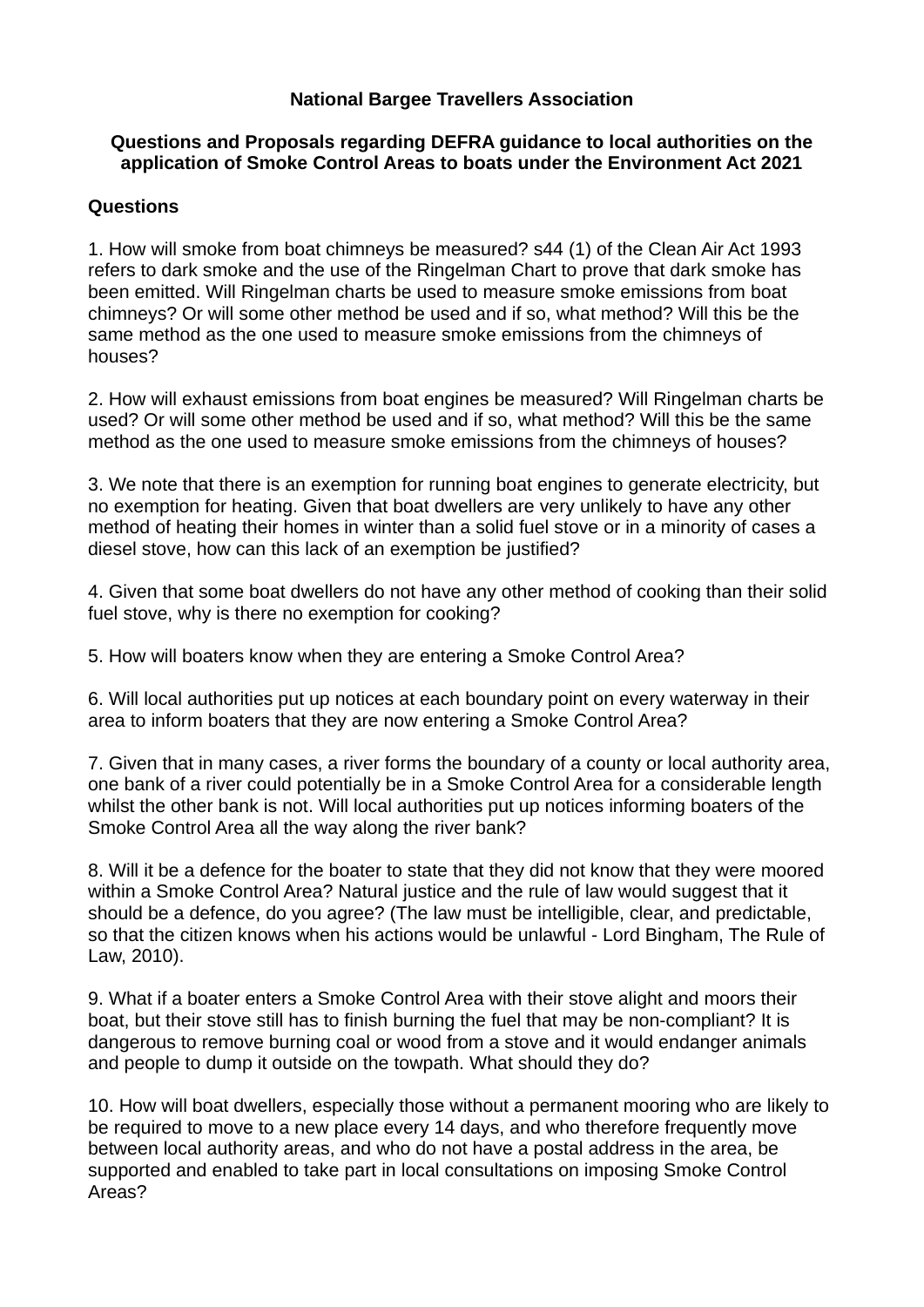## **National Bargee Travellers Association**

### **Questions and Proposals regarding DEFRA guidance to local authorities on the application of Smoke Control Areas to boats under the Environment Act 2021**

## **Questions**

1. How will smoke from boat chimneys be measured? s44 (1) of the Clean Air Act 1993 refers to dark smoke and the use of the Ringelman Chart to prove that dark smoke has been emitted. Will Ringelman charts be used to measure smoke emissions from boat chimneys? Or will some other method be used and if so, what method? Will this be the same method as the one used to measure smoke emissions from the chimneys of houses?

2. How will exhaust emissions from boat engines be measured? Will Ringelman charts be used? Or will some other method be used and if so, what method? Will this be the same method as the one used to measure smoke emissions from the chimneys of houses?

3. We note that there is an exemption for running boat engines to generate electricity, but no exemption for heating. Given that boat dwellers are very unlikely to have any other method of heating their homes in winter than a solid fuel stove or in a minority of cases a diesel stove, how can this lack of an exemption be justified?

4. Given that some boat dwellers do not have any other method of cooking than their solid fuel stove, why is there no exemption for cooking?

5. How will boaters know when they are entering a Smoke Control Area?

6. Will local authorities put up notices at each boundary point on every waterway in their area to inform boaters that they are now entering a Smoke Control Area?

7. Given that in many cases, a river forms the boundary of a county or local authority area, one bank of a river could potentially be in a Smoke Control Area for a considerable length whilst the other bank is not. Will local authorities put up notices informing boaters of the Smoke Control Area all the way along the river bank?

8. Will it be a defence for the boater to state that they did not know that they were moored within a Smoke Control Area? Natural justice and the rule of law would suggest that it should be a defence, do you agree? (The law must be intelligible, clear, and predictable, so that the citizen knows when his actions would be unlawful - Lord Bingham, The Rule of Law, 2010).

9. What if a boater enters a Smoke Control Area with their stove alight and moors their boat, but their stove still has to finish burning the fuel that may be non-compliant? It is dangerous to remove burning coal or wood from a stove and it would endanger animals and people to dump it outside on the towpath. What should they do?

10. How will boat dwellers, especially those without a permanent mooring who are likely to be required to move to a new place every 14 days, and who therefore frequently move between local authority areas, and who do not have a postal address in the area, be supported and enabled to take part in local consultations on imposing Smoke Control Areas?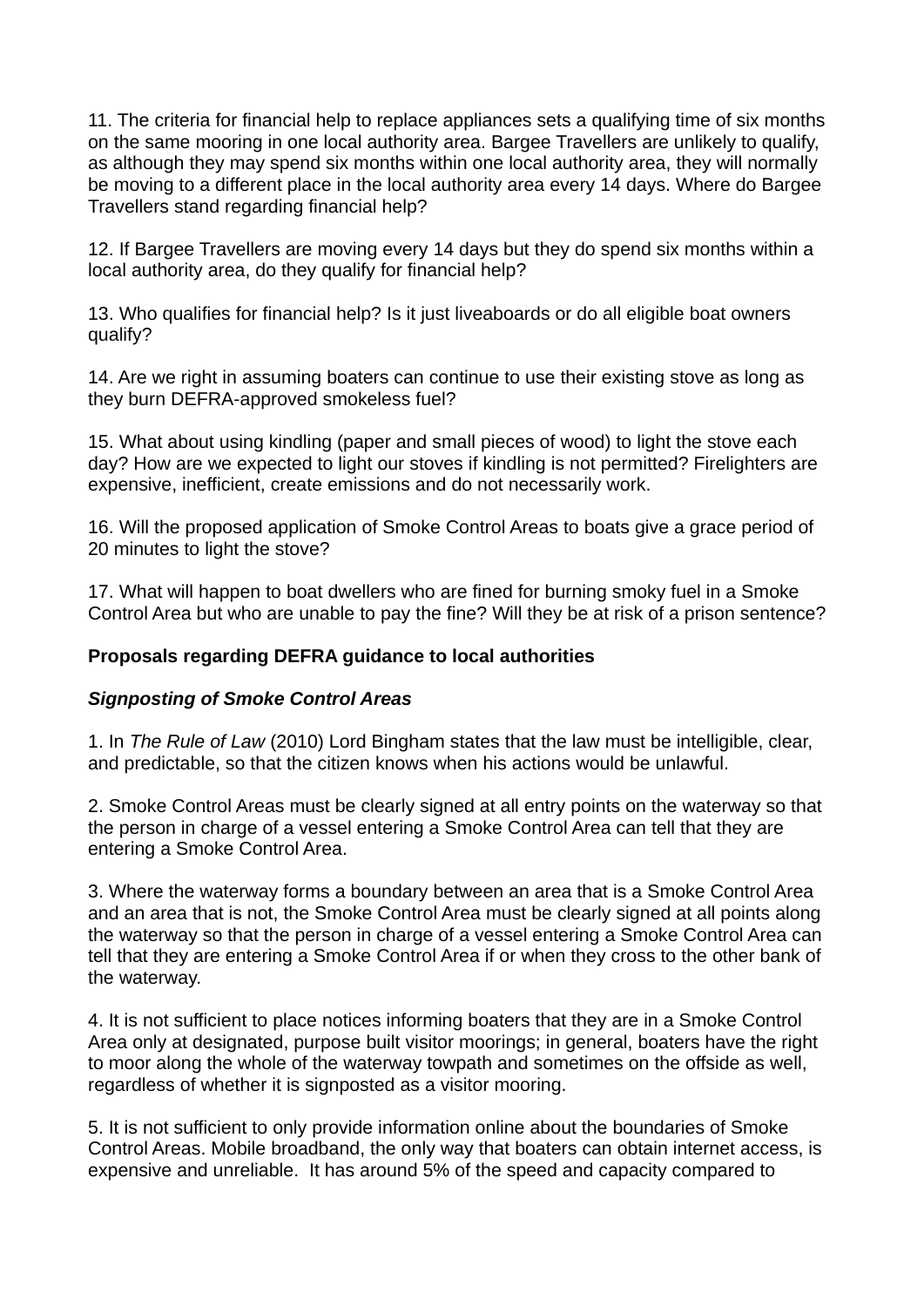11. The criteria for financial help to replace appliances sets a qualifying time of six months on the same mooring in one local authority area. Bargee Travellers are unlikely to qualify, as although they may spend six months within one local authority area, they will normally be moving to a different place in the local authority area every 14 days. Where do Bargee Travellers stand regarding financial help?

12. If Bargee Travellers are moving every 14 days but they do spend six months within a local authority area, do they qualify for financial help?

13. Who qualifies for financial help? Is it just liveaboards or do all eligible boat owners qualify?

14. Are we right in assuming boaters can continue to use their existing stove as long as they burn DEFRA-approved smokeless fuel?

15. What about using kindling (paper and small pieces of wood) to light the stove each day? How are we expected to light our stoves if kindling is not permitted? Firelighters are expensive, inefficient, create emissions and do not necessarily work.

16. Will the proposed application of Smoke Control Areas to boats give a grace period of 20 minutes to light the stove?

17. What will happen to boat dwellers who are fined for burning smoky fuel in a Smoke Control Area but who are unable to pay the fine? Will they be at risk of a prison sentence?

### **Proposals regarding DEFRA guidance to local authorities**

### *Signposting of Smoke Control Areas*

1. In *The Rule of Law* (2010) Lord Bingham states that the law must be intelligible, clear, and predictable, so that the citizen knows when his actions would be unlawful.

2. Smoke Control Areas must be clearly signed at all entry points on the waterway so that the person in charge of a vessel entering a Smoke Control Area can tell that they are entering a Smoke Control Area.

3. Where the waterway forms a boundary between an area that is a Smoke Control Area and an area that is not, the Smoke Control Area must be clearly signed at all points along the waterway so that the person in charge of a vessel entering a Smoke Control Area can tell that they are entering a Smoke Control Area if or when they cross to the other bank of the waterway.

4. It is not sufficient to place notices informing boaters that they are in a Smoke Control Area only at designated, purpose built visitor moorings; in general, boaters have the right to moor along the whole of the waterway towpath and sometimes on the offside as well, regardless of whether it is signposted as a visitor mooring.

5. It is not sufficient to only provide information online about the boundaries of Smoke Control Areas. Mobile broadband, the only way that boaters can obtain internet access, is expensive and unreliable. It has around 5% of the speed and capacity compared to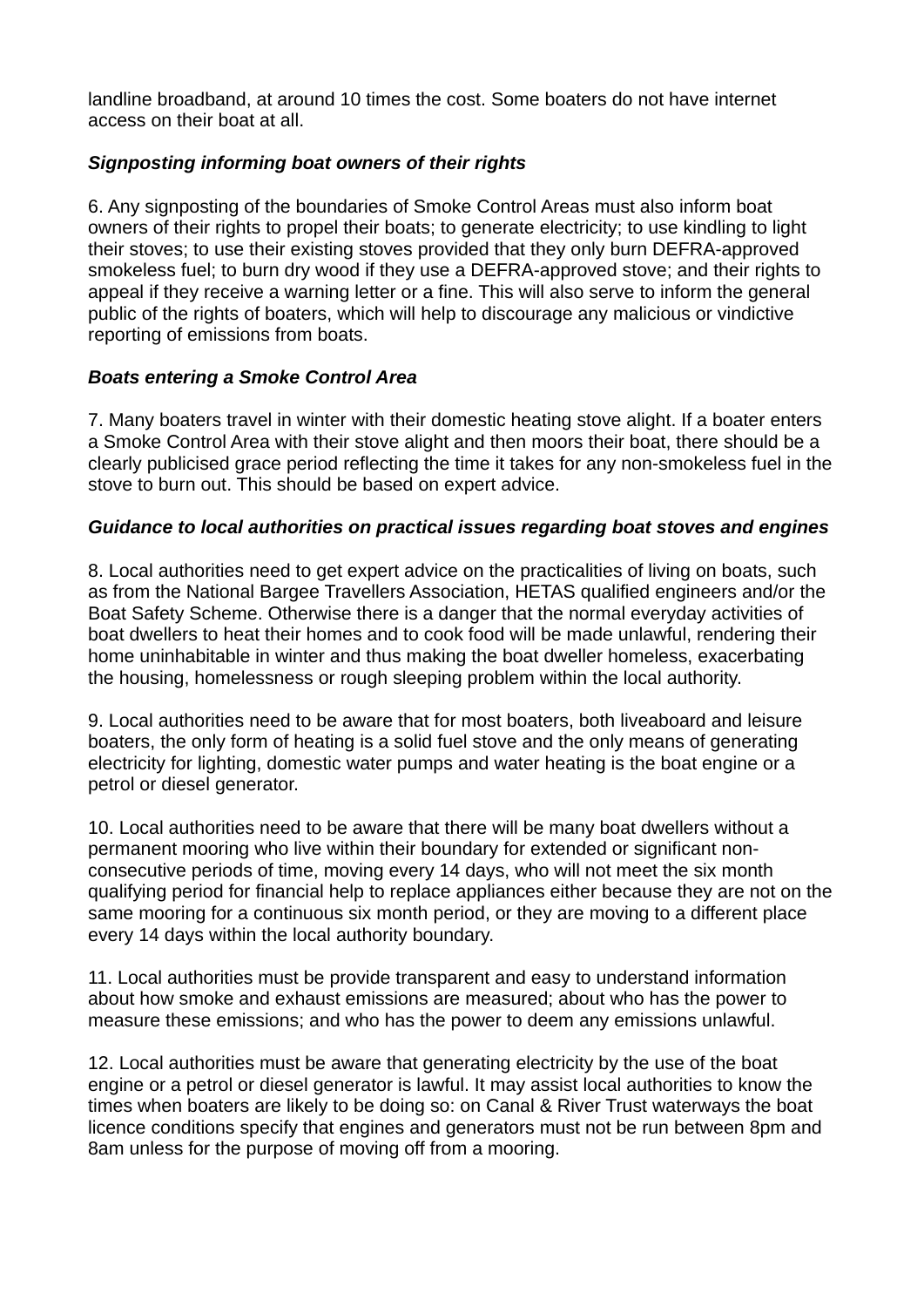landline broadband, at around 10 times the cost. Some boaters do not have internet access on their boat at all.

# *Signposting informing boat owners of their rights*

6. Any signposting of the boundaries of Smoke Control Areas must also inform boat owners of their rights to propel their boats; to generate electricity; to use kindling to light their stoves; to use their existing stoves provided that they only burn DEFRA-approved smokeless fuel; to burn dry wood if they use a DEFRA-approved stove; and their rights to appeal if they receive a warning letter or a fine. This will also serve to inform the general public of the rights of boaters, which will help to discourage any malicious or vindictive reporting of emissions from boats.

## *Boats entering a Smoke Control Area*

7. Many boaters travel in winter with their domestic heating stove alight. If a boater enters a Smoke Control Area with their stove alight and then moors their boat, there should be a clearly publicised grace period reflecting the time it takes for any non-smokeless fuel in the stove to burn out. This should be based on expert advice.

## *Guidance to local authorities on practical issues regarding boat stoves and engines*

8. Local authorities need to get expert advice on the practicalities of living on boats, such as from the National Bargee Travellers Association, HETAS qualified engineers and/or the Boat Safety Scheme. Otherwise there is a danger that the normal everyday activities of boat dwellers to heat their homes and to cook food will be made unlawful, rendering their home uninhabitable in winter and thus making the boat dweller homeless, exacerbating the housing, homelessness or rough sleeping problem within the local authority.

9. Local authorities need to be aware that for most boaters, both liveaboard and leisure boaters, the only form of heating is a solid fuel stove and the only means of generating electricity for lighting, domestic water pumps and water heating is the boat engine or a petrol or diesel generator.

10. Local authorities need to be aware that there will be many boat dwellers without a permanent mooring who live within their boundary for extended or significant nonconsecutive periods of time, moving every 14 days, who will not meet the six month qualifying period for financial help to replace appliances either because they are not on the same mooring for a continuous six month period, or they are moving to a different place every 14 days within the local authority boundary.

11. Local authorities must be provide transparent and easy to understand information about how smoke and exhaust emissions are measured; about who has the power to measure these emissions; and who has the power to deem any emissions unlawful.

12. Local authorities must be aware that generating electricity by the use of the boat engine or a petrol or diesel generator is lawful. It may assist local authorities to know the times when boaters are likely to be doing so: on Canal & River Trust waterways the boat licence conditions specify that engines and generators must not be run between 8pm and 8am unless for the purpose of moving off from a mooring.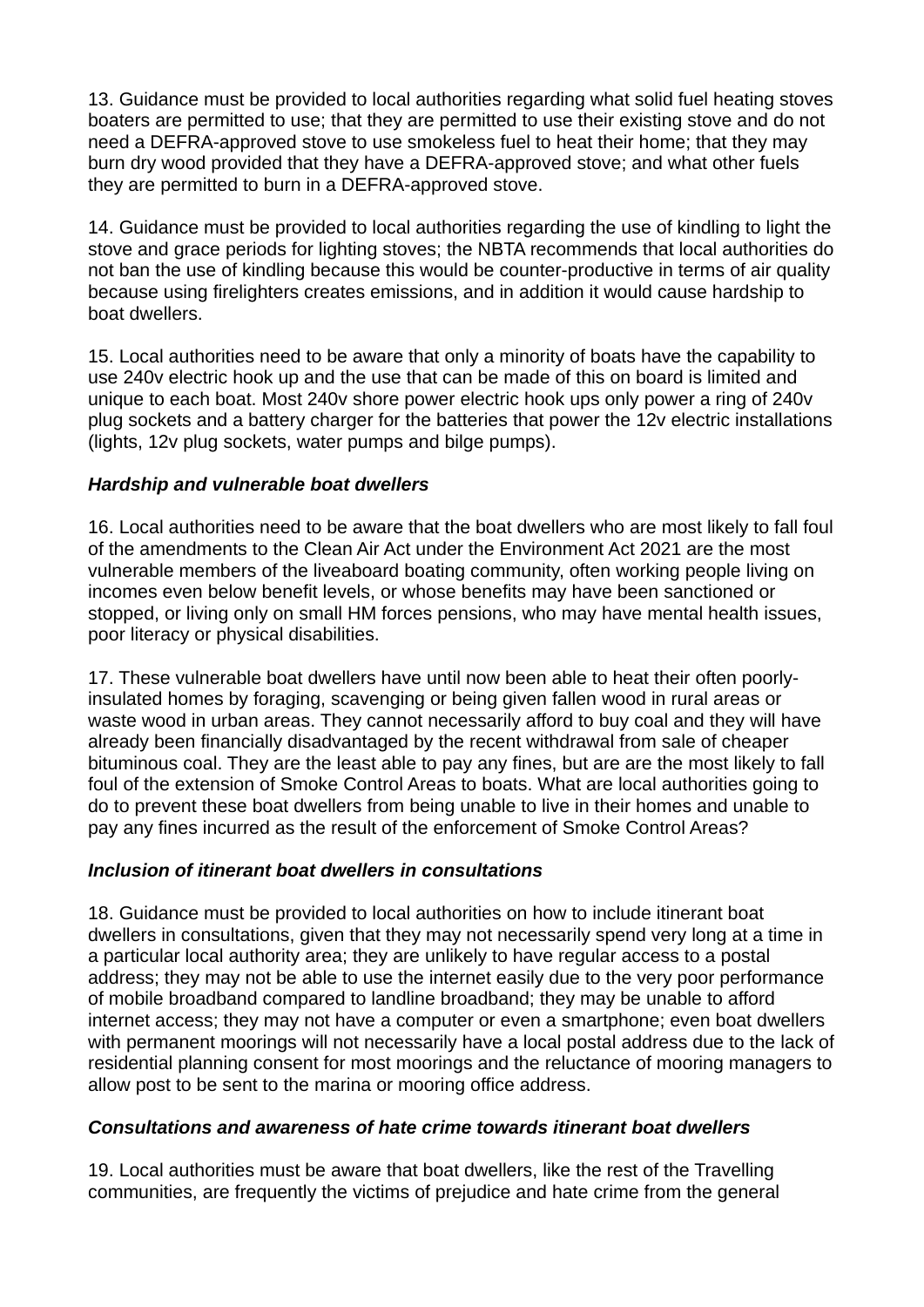13. Guidance must be provided to local authorities regarding what solid fuel heating stoves boaters are permitted to use; that they are permitted to use their existing stove and do not need a DEFRA-approved stove to use smokeless fuel to heat their home; that they may burn dry wood provided that they have a DEFRA-approved stove; and what other fuels they are permitted to burn in a DEFRA-approved stove.

14. Guidance must be provided to local authorities regarding the use of kindling to light the stove and grace periods for lighting stoves; the NBTA recommends that local authorities do not ban the use of kindling because this would be counter-productive in terms of air quality because using firelighters creates emissions, and in addition it would cause hardship to boat dwellers.

15. Local authorities need to be aware that only a minority of boats have the capability to use 240v electric hook up and the use that can be made of this on board is limited and unique to each boat. Most 240v shore power electric hook ups only power a ring of 240v plug sockets and a battery charger for the batteries that power the 12v electric installations (lights, 12v plug sockets, water pumps and bilge pumps).

# *Hardship and vulnerable boat dwellers*

16. Local authorities need to be aware that the boat dwellers who are most likely to fall foul of the amendments to the Clean Air Act under the Environment Act 2021 are the most vulnerable members of the liveaboard boating community, often working people living on incomes even below benefit levels, or whose benefits may have been sanctioned or stopped, or living only on small HM forces pensions, who may have mental health issues, poor literacy or physical disabilities.

17. These vulnerable boat dwellers have until now been able to heat their often poorlyinsulated homes by foraging, scavenging or being given fallen wood in rural areas or waste wood in urban areas. They cannot necessarily afford to buy coal and they will have already been financially disadvantaged by the recent withdrawal from sale of cheaper bituminous coal. They are the least able to pay any fines, but are are the most likely to fall foul of the extension of Smoke Control Areas to boats. What are local authorities going to do to prevent these boat dwellers from being unable to live in their homes and unable to pay any fines incurred as the result of the enforcement of Smoke Control Areas?

### *Inclusion of itinerant boat dwellers in consultations*

18. Guidance must be provided to local authorities on how to include itinerant boat dwellers in consultations, given that they may not necessarily spend very long at a time in a particular local authority area; they are unlikely to have regular access to a postal address; they may not be able to use the internet easily due to the very poor performance of mobile broadband compared to landline broadband; they may be unable to afford internet access; they may not have a computer or even a smartphone; even boat dwellers with permanent moorings will not necessarily have a local postal address due to the lack of residential planning consent for most moorings and the reluctance of mooring managers to allow post to be sent to the marina or mooring office address.

### *Consultations and awareness of hate crime towards itinerant boat dwellers*

19. Local authorities must be aware that boat dwellers, like the rest of the Travelling communities, are frequently the victims of prejudice and hate crime from the general